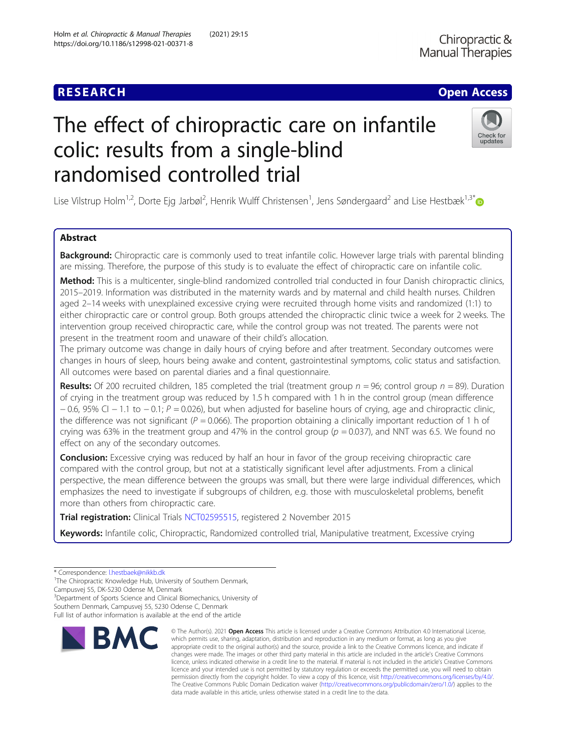# The effect of chiropractic care on infantile colic: results from a single-blind randomised controlled trial



Lise Vilstrup Holm<sup>1,2</sup>, Dorte Ejg Jarbøl<sup>2</sup>, Henrik Wulff Christensen<sup>1</sup>, Jens Søndergaard<sup>2</sup> and Lise Hestbæk<sup>1,3\*</sup>

# Abstract

Background: Chiropractic care is commonly used to treat infantile colic. However large trials with parental blinding are missing. Therefore, the purpose of this study is to evaluate the effect of chiropractic care on infantile colic.

Method: This is a multicenter, single-blind randomized controlled trial conducted in four Danish chiropractic clinics, 2015–2019. Information was distributed in the maternity wards and by maternal and child health nurses. Children aged 2–14 weeks with unexplained excessive crying were recruited through home visits and randomized (1:1) to either chiropractic care or control group. Both groups attended the chiropractic clinic twice a week for 2 weeks. The intervention group received chiropractic care, while the control group was not treated. The parents were not present in the treatment room and unaware of their child's allocation.

The primary outcome was change in daily hours of crying before and after treatment. Secondary outcomes were changes in hours of sleep, hours being awake and content, gastrointestinal symptoms, colic status and satisfaction. All outcomes were based on parental diaries and a final questionnaire.

**Results:** Of 200 recruited children, 185 completed the trial (treatment group  $n = 96$ ; control group  $n = 89$ ). Duration of crying in the treatment group was reduced by 1.5 h compared with 1 h in the control group (mean difference  $-0.6$ , 95% CI  $-1.1$  to  $-0.1$ ; P = 0.026), but when adjusted for baseline hours of crying, age and chiropractic clinic, the difference was not significant ( $P = 0.066$ ). The proportion obtaining a clinically important reduction of 1 h of crying was 63% in the treatment group and 47% in the control group ( $p = 0.037$ ), and NNT was 6.5. We found no effect on any of the secondary outcomes.

**Conclusion:** Excessive crying was reduced by half an hour in favor of the group receiving chiropractic care compared with the control group, but not at a statistically significant level after adjustments. From a clinical perspective, the mean difference between the groups was small, but there were large individual differences, which emphasizes the need to investigate if subgroups of children, e.g. those with musculoskeletal problems, benefit more than others from chiropractic care.

Trial registration: Clinical Trials [NCT02595515](https://clinicaltrials.gov/ct2/show/NCT02595515), registered 2 November 2015

Keywords: Infantile colic, Chiropractic, Randomized controlled trial, Manipulative treatment, Excessive crying

Campusvej 55, DK-5230 Odense M, Denmark

<sup>3</sup>Department of Sports Science and Clinical Biomechanics, University of

Full list of author information is available at the end of the article



<sup>©</sup> The Author(s), 2021 **Open Access** This article is licensed under a Creative Commons Attribution 4.0 International License, which permits use, sharing, adaptation, distribution and reproduction in any medium or format, as long as you give appropriate credit to the original author(s) and the source, provide a link to the Creative Commons licence, and indicate if changes were made. The images or other third party material in this article are included in the article's Creative Commons licence, unless indicated otherwise in a credit line to the material. If material is not included in the article's Creative Commons licence and your intended use is not permitted by statutory regulation or exceeds the permitted use, you will need to obtain permission directly from the copyright holder. To view a copy of this licence, visit [http://creativecommons.org/licenses/by/4.0/.](http://creativecommons.org/licenses/by/4.0/) The Creative Commons Public Domain Dedication waiver [\(http://creativecommons.org/publicdomain/zero/1.0/](http://creativecommons.org/publicdomain/zero/1.0/)) applies to the data made available in this article, unless otherwise stated in a credit line to the data.

<sup>\*</sup> Correspondence: [l.hestbaek@nikkb.dk](mailto:l.hestbaek@nikkb.dk) <sup>1</sup>

<sup>&</sup>lt;sup>1</sup>The Chiropractic Knowledge Hub, University of Southern Denmark,

Southern Denmark, Campusvej 55, 5230 Odense C, Denmark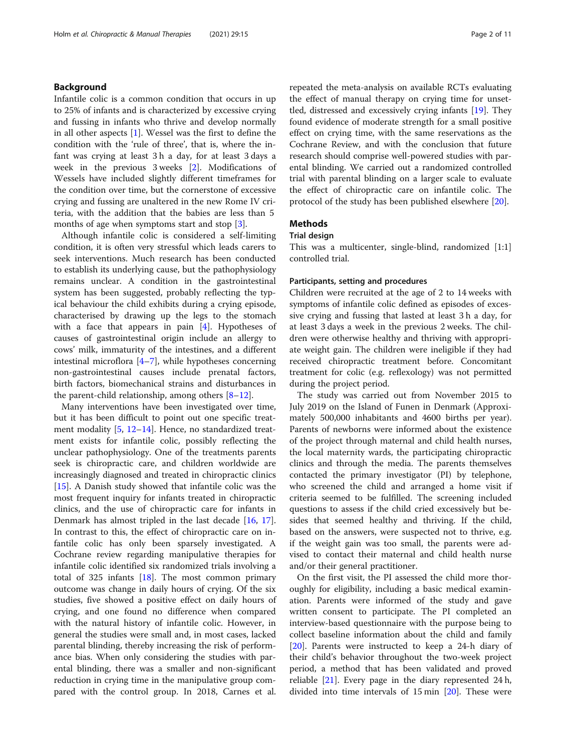# Background

Infantile colic is a common condition that occurs in up to 25% of infants and is characterized by excessive crying and fussing in infants who thrive and develop normally in all other aspects [\[1](#page-9-0)]. Wessel was the first to define the condition with the 'rule of three', that is, where the infant was crying at least 3 h a day, for at least 3 days a week in the previous 3 weeks [\[2\]](#page-9-0). Modifications of Wessels have included slightly different timeframes for the condition over time, but the cornerstone of excessive crying and fussing are unaltered in the new Rome IV criteria, with the addition that the babies are less than 5 months of age when symptoms start and stop [\[3](#page-9-0)].

Although infantile colic is considered a self-limiting condition, it is often very stressful which leads carers to seek interventions. Much research has been conducted to establish its underlying cause, but the pathophysiology remains unclear. A condition in the gastrointestinal system has been suggested, probably reflecting the typical behaviour the child exhibits during a crying episode, characterised by drawing up the legs to the stomach with a face that appears in pain  $[4]$  $[4]$ . Hypotheses of causes of gastrointestinal origin include an allergy to cows' milk, immaturity of the intestines, and a different intestinal microflora [[4](#page-9-0)–[7\]](#page-9-0), while hypotheses concerning non-gastrointestinal causes include prenatal factors, birth factors, biomechanical strains and disturbances in the parent-child relationship, among others  $[8-12]$  $[8-12]$  $[8-12]$  $[8-12]$ .

Many interventions have been investigated over time, but it has been difficult to point out one specific treat-ment modality [\[5](#page-9-0), [12](#page-9-0)–[14](#page-10-0)]. Hence, no standardized treatment exists for infantile colic, possibly reflecting the unclear pathophysiology. One of the treatments parents seek is chiropractic care, and children worldwide are increasingly diagnosed and treated in chiropractic clinics [[15\]](#page-10-0). A Danish study showed that infantile colic was the most frequent inquiry for infants treated in chiropractic clinics, and the use of chiropractic care for infants in Denmark has almost tripled in the last decade [[16](#page-10-0), [17](#page-10-0)]. In contrast to this, the effect of chiropractic care on infantile colic has only been sparsely investigated. A Cochrane review regarding manipulative therapies for infantile colic identified six randomized trials involving a total of 325 infants [\[18](#page-10-0)]. The most common primary outcome was change in daily hours of crying. Of the six studies, five showed a positive effect on daily hours of crying, and one found no difference when compared with the natural history of infantile colic. However, in general the studies were small and, in most cases, lacked parental blinding, thereby increasing the risk of performance bias. When only considering the studies with parental blinding, there was a smaller and non-significant reduction in crying time in the manipulative group compared with the control group. In 2018, Carnes et al. repeated the meta-analysis on available RCTs evaluating the effect of manual therapy on crying time for unsettled, distressed and excessively crying infants [\[19\]](#page-10-0). They found evidence of moderate strength for a small positive effect on crying time, with the same reservations as the Cochrane Review, and with the conclusion that future research should comprise well-powered studies with parental blinding. We carried out a randomized controlled trial with parental blinding on a larger scale to evaluate the effect of chiropractic care on infantile colic. The protocol of the study has been published elsewhere [[20](#page-10-0)].

# Methods

#### Trial design

This was a multicenter, single-blind, randomized [1:1] controlled trial.

### Participants, setting and procedures

Children were recruited at the age of 2 to 14 weeks with symptoms of infantile colic defined as episodes of excessive crying and fussing that lasted at least 3 h a day, for at least 3 days a week in the previous 2 weeks. The children were otherwise healthy and thriving with appropriate weight gain. The children were ineligible if they had received chiropractic treatment before. Concomitant treatment for colic (e.g. reflexology) was not permitted during the project period.

The study was carried out from November 2015 to July 2019 on the Island of Funen in Denmark (Approximately 500,000 inhabitants and 4600 births per year). Parents of newborns were informed about the existence of the project through maternal and child health nurses, the local maternity wards, the participating chiropractic clinics and through the media. The parents themselves contacted the primary investigator (PI) by telephone, who screened the child and arranged a home visit if criteria seemed to be fulfilled. The screening included questions to assess if the child cried excessively but besides that seemed healthy and thriving. If the child, based on the answers, were suspected not to thrive, e.g. if the weight gain was too small, the parents were advised to contact their maternal and child health nurse and/or their general practitioner.

On the first visit, the PI assessed the child more thoroughly for eligibility, including a basic medical examination. Parents were informed of the study and gave written consent to participate. The PI completed an interview-based questionnaire with the purpose being to collect baseline information about the child and family [[20\]](#page-10-0). Parents were instructed to keep a 24-h diary of their child's behavior throughout the two-week project period, a method that has been validated and proved reliable [\[21\]](#page-10-0). Every page in the diary represented 24 h, divided into time intervals of 15 min [\[20](#page-10-0)]. These were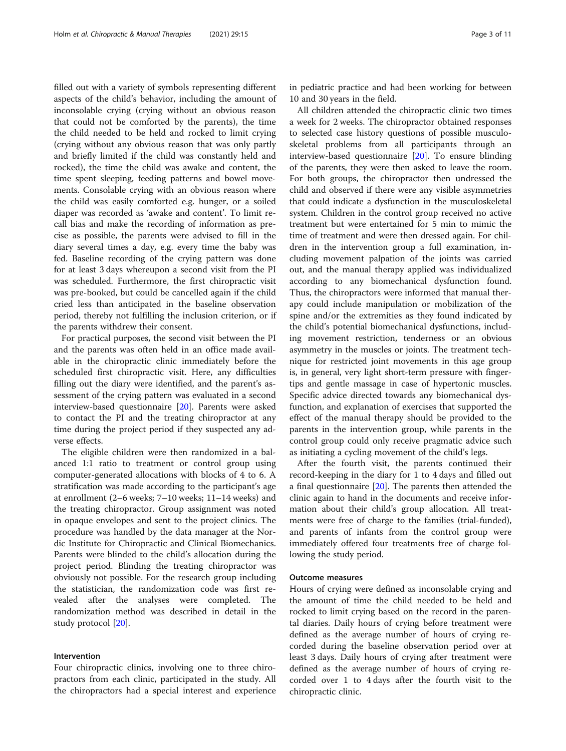filled out with a variety of symbols representing different aspects of the child's behavior, including the amount of inconsolable crying (crying without an obvious reason that could not be comforted by the parents), the time the child needed to be held and rocked to limit crying (crying without any obvious reason that was only partly and briefly limited if the child was constantly held and rocked), the time the child was awake and content, the time spent sleeping, feeding patterns and bowel movements. Consolable crying with an obvious reason where the child was easily comforted e.g. hunger, or a soiled diaper was recorded as 'awake and content'. To limit recall bias and make the recording of information as precise as possible, the parents were advised to fill in the diary several times a day, e.g. every time the baby was fed. Baseline recording of the crying pattern was done for at least 3 days whereupon a second visit from the PI was scheduled. Furthermore, the first chiropractic visit was pre-booked, but could be cancelled again if the child cried less than anticipated in the baseline observation period, thereby not fulfilling the inclusion criterion, or if the parents withdrew their consent.

For practical purposes, the second visit between the PI and the parents was often held in an office made available in the chiropractic clinic immediately before the scheduled first chiropractic visit. Here, any difficulties filling out the diary were identified, and the parent's assessment of the crying pattern was evaluated in a second interview-based questionnaire [[20\]](#page-10-0). Parents were asked to contact the PI and the treating chiropractor at any time during the project period if they suspected any adverse effects.

The eligible children were then randomized in a balanced 1:1 ratio to treatment or control group using computer-generated allocations with blocks of 4 to 6. A stratification was made according to the participant's age at enrollment (2–6 weeks; 7–10 weeks; 11–14 weeks) and the treating chiropractor. Group assignment was noted in opaque envelopes and sent to the project clinics. The procedure was handled by the data manager at the Nordic Institute for Chiropractic and Clinical Biomechanics. Parents were blinded to the child's allocation during the project period. Blinding the treating chiropractor was obviously not possible. For the research group including the statistician, the randomization code was first revealed after the analyses were completed. The randomization method was described in detail in the study protocol [[20\]](#page-10-0).

# Intervention

Four chiropractic clinics, involving one to three chiropractors from each clinic, participated in the study. All the chiropractors had a special interest and experience in pediatric practice and had been working for between 10 and 30 years in the field.

All children attended the chiropractic clinic two times a week for 2 weeks. The chiropractor obtained responses to selected case history questions of possible musculoskeletal problems from all participants through an interview-based questionnaire [[20\]](#page-10-0). To ensure blinding of the parents, they were then asked to leave the room. For both groups, the chiropractor then undressed the child and observed if there were any visible asymmetries that could indicate a dysfunction in the musculoskeletal system. Children in the control group received no active treatment but were entertained for 5 min to mimic the time of treatment and were then dressed again. For children in the intervention group a full examination, including movement palpation of the joints was carried out, and the manual therapy applied was individualized according to any biomechanical dysfunction found. Thus, the chiropractors were informed that manual therapy could include manipulation or mobilization of the spine and/or the extremities as they found indicated by the child's potential biomechanical dysfunctions, including movement restriction, tenderness or an obvious asymmetry in the muscles or joints. The treatment technique for restricted joint movements in this age group is, in general, very light short-term pressure with fingertips and gentle massage in case of hypertonic muscles. Specific advice directed towards any biomechanical dysfunction, and explanation of exercises that supported the effect of the manual therapy should be provided to the parents in the intervention group, while parents in the control group could only receive pragmatic advice such as initiating a cycling movement of the child's legs.

After the fourth visit, the parents continued their record-keeping in the diary for 1 to 4 days and filled out a final questionnaire [[20\]](#page-10-0). The parents then attended the clinic again to hand in the documents and receive information about their child's group allocation. All treatments were free of charge to the families (trial-funded), and parents of infants from the control group were immediately offered four treatments free of charge following the study period.

#### Outcome measures

Hours of crying were defined as inconsolable crying and the amount of time the child needed to be held and rocked to limit crying based on the record in the parental diaries. Daily hours of crying before treatment were defined as the average number of hours of crying recorded during the baseline observation period over at least 3 days. Daily hours of crying after treatment were defined as the average number of hours of crying recorded over 1 to 4 days after the fourth visit to the chiropractic clinic.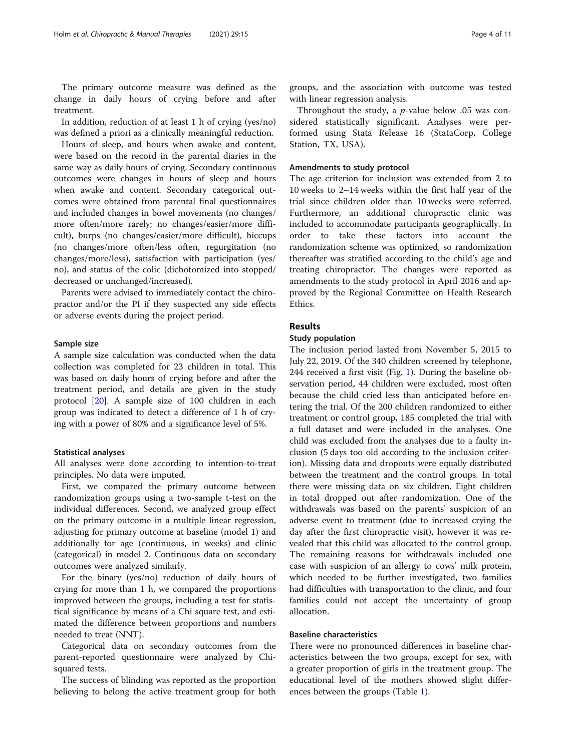The primary outcome measure was defined as the change in daily hours of crying before and after treatment.

In addition, reduction of at least 1 h of crying (yes/no) was defined a priori as a clinically meaningful reduction.

Hours of sleep, and hours when awake and content, were based on the record in the parental diaries in the same way as daily hours of crying. Secondary continuous outcomes were changes in hours of sleep and hours when awake and content. Secondary categorical outcomes were obtained from parental final questionnaires and included changes in bowel movements (no changes/ more often/more rarely; no changes/easier/more difficult), burps (no changes/easier/more difficult), hiccups (no changes/more often/less often, regurgitation (no changes/more/less), satisfaction with participation (yes/ no), and status of the colic (dichotomized into stopped/ decreased or unchanged/increased).

Parents were advised to immediately contact the chiropractor and/or the PI if they suspected any side effects or adverse events during the project period.

#### Sample size

A sample size calculation was conducted when the data collection was completed for 23 children in total. This was based on daily hours of crying before and after the treatment period, and details are given in the study protocol [[20](#page-10-0)]. A sample size of 100 children in each group was indicated to detect a difference of 1 h of crying with a power of 80% and a significance level of 5%.

#### Statistical analyses

All analyses were done according to intention-to-treat principles. No data were imputed.

First, we compared the primary outcome between randomization groups using a two-sample t-test on the individual differences. Second, we analyzed group effect on the primary outcome in a multiple linear regression, adjusting for primary outcome at baseline (model 1) and additionally for age (continuous, in weeks) and clinic (categorical) in model 2. Continuous data on secondary outcomes were analyzed similarly.

For the binary (yes/no) reduction of daily hours of crying for more than 1 h, we compared the proportions improved between the groups, including a test for statistical significance by means of a Chi square test, and estimated the difference between proportions and numbers needed to treat (NNT).

Categorical data on secondary outcomes from the parent-reported questionnaire were analyzed by Chisquared tests.

The success of blinding was reported as the proportion believing to belong the active treatment group for both groups, and the association with outcome was tested with linear regression analysis.

Throughout the study, a p-value below .05 was considered statistically significant. Analyses were performed using Stata Release 16 (StataCorp, College Station, TX, USA).

#### Amendments to study protocol

The age criterion for inclusion was extended from 2 to 10 weeks to 2–14 weeks within the first half year of the trial since children older than 10 weeks were referred. Furthermore, an additional chiropractic clinic was included to accommodate participants geographically. In order to take these factors into account the randomization scheme was optimized, so randomization thereafter was stratified according to the child's age and treating chiropractor. The changes were reported as amendments to the study protocol in April 2016 and approved by the Regional Committee on Health Research Ethics.

# Results

### Study population

The inclusion period lasted from November 5, 2015 to July 22, 2019. Of the 340 children screened by telephone, 244 received a first visit (Fig. [1](#page-4-0)). During the baseline observation period, 44 children were excluded, most often because the child cried less than anticipated before entering the trial. Of the 200 children randomized to either treatment or control group, 185 completed the trial with a full dataset and were included in the analyses. One child was excluded from the analyses due to a faulty inclusion (5 days too old according to the inclusion criterion). Missing data and dropouts were equally distributed between the treatment and the control groups. In total there were missing data on six children. Eight children in total dropped out after randomization. One of the withdrawals was based on the parents' suspicion of an adverse event to treatment (due to increased crying the day after the first chiropractic visit), however it was revealed that this child was allocated to the control group. The remaining reasons for withdrawals included one case with suspicion of an allergy to cows' milk protein, which needed to be further investigated, two families had difficulties with transportation to the clinic, and four families could not accept the uncertainty of group allocation.

#### Baseline characteristics

There were no pronounced differences in baseline characteristics between the two groups, except for sex, with a greater proportion of girls in the treatment group. The educational level of the mothers showed slight differences between the groups (Table [1](#page-5-0)).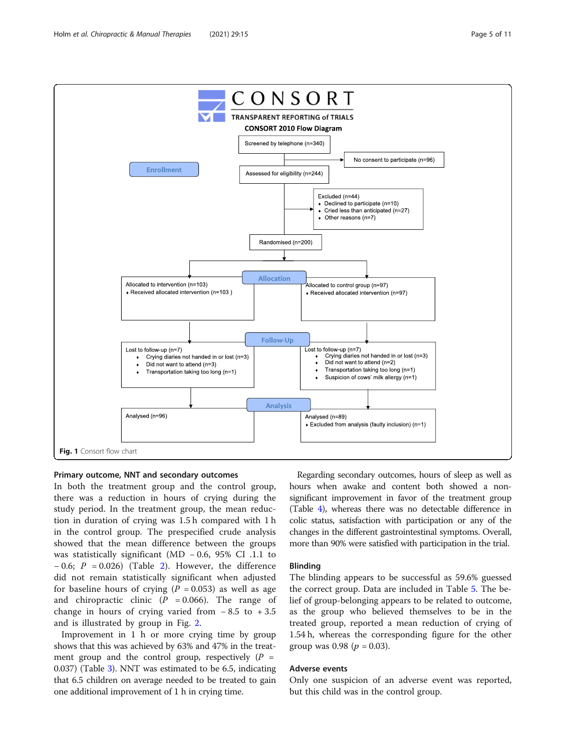<span id="page-4-0"></span>

#### Primary outcome, NNT and secondary outcomes

In both the treatment group and the control group, there was a reduction in hours of crying during the study period. In the treatment group, the mean reduction in duration of crying was 1.5 h compared with 1 h in the control group. The prespecified crude analysis showed that the mean difference between the groups was statistically significant (MD − 0.6, 95% CI .1.1 to  $-0.6$ ;  $P = 0.026$ ) (Table [2\)](#page-6-0). However, the difference did not remain statistically significant when adjusted for baseline hours of crying ( $P = 0.053$ ) as well as age and chiropractic clinic ( $P = 0.066$ ). The range of change in hours of crying varied from  $-8.5$  to  $+3.5$ and is illustrated by group in Fig. [2.](#page-6-0)

Improvement in 1 h or more crying time by group shows that this was achieved by 63% and 47% in the treatment group and the control group, respectively  $(P =$ 0.037) (Table [3\)](#page-7-0). NNT was estimated to be 6.5, indicating that 6.5 children on average needed to be treated to gain one additional improvement of 1 h in crying time.

Regarding secondary outcomes, hours of sleep as well as hours when awake and content both showed a nonsignificant improvement in favor of the treatment group (Table [4](#page-7-0)), whereas there was no detectable difference in colic status, satisfaction with participation or any of the changes in the different gastrointestinal symptoms. Overall, more than 90% were satisfied with participation in the trial.

### Blinding

The blinding appears to be successful as 59.6% guessed the correct group. Data are included in Table [5.](#page-8-0) The belief of group-belonging appears to be related to outcome, as the group who believed themselves to be in the treated group, reported a mean reduction of crying of 1.54 h, whereas the corresponding figure for the other group was 0.98 ( $p = 0.03$ ).

# Adverse events

Only one suspicion of an adverse event was reported, but this child was in the control group.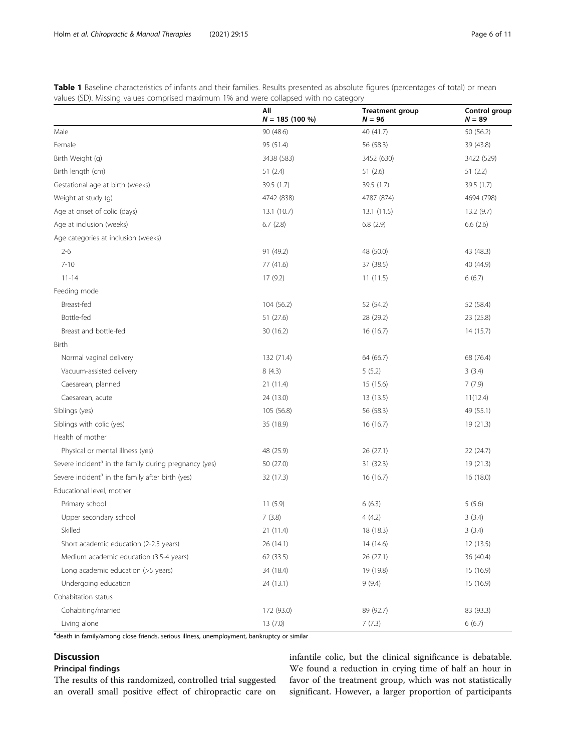<span id="page-5-0"></span>

| Table 1 Baseline characteristics of infants and their families. Results presented as absolute figures (percentages of total) or mean |  |
|--------------------------------------------------------------------------------------------------------------------------------------|--|
| values (SD). Missing values comprised maximum 1% and were collapsed with no category                                                 |  |

|                                                                   | All<br>$N = 185(100\%)$ | <b>Treatment group</b><br>$N = 96$ | Control group<br>$N = 89$ |
|-------------------------------------------------------------------|-------------------------|------------------------------------|---------------------------|
| Male                                                              | 90 (48.6)               | 40 (41.7)                          | 50 (56.2)                 |
| Female                                                            | 95 (51.4)               | 56 (58.3)                          | 39 (43.8)                 |
| Birth Weight (g)                                                  | 3438 (583)              | 3452 (630)                         | 3422 (529)                |
| Birth length (cm)                                                 | 51(2.4)                 | 51(2.6)                            | 51(2.2)                   |
| Gestational age at birth (weeks)                                  | 39.5(1.7)               | 39.5 (1.7)                         | 39.5 (1.7)                |
| Weight at study (g)                                               | 4742 (838)              | 4787 (874)                         | 4694 (798)                |
| Age at onset of colic (days)                                      | 13.1(10.7)              | 13.1(11.5)                         | 13.2(9.7)                 |
| Age at inclusion (weeks)                                          | 6.7(2.8)                | 6.8(2.9)                           | 6.6(2.6)                  |
| Age categories at inclusion (weeks)                               |                         |                                    |                           |
| $2 - 6$                                                           | 91 (49.2)               | 48 (50.0)                          | 43 (48.3)                 |
| $7 - 10$                                                          | 77 (41.6)               | 37 (38.5)                          | 40 (44.9)                 |
| $11 - 14$                                                         | 17(9.2)                 | 11(11.5)                           | 6(6.7)                    |
| Feeding mode                                                      |                         |                                    |                           |
| Breast-fed                                                        | 104 (56.2)              | 52 (54.2)                          | 52 (58.4)                 |
| Bottle-fed                                                        | 51 (27.6)               | 28 (29.2)                          | 23 (25.8)                 |
| Breast and bottle-fed                                             | 30 (16.2)               | 16 (16.7)                          | 14(15.7)                  |
| Birth                                                             |                         |                                    |                           |
| Normal vaginal delivery                                           | 132 (71.4)              | 64 (66.7)                          | 68 (76.4)                 |
| Vacuum-assisted delivery                                          | 8(4.3)                  | 5(5.2)                             | 3(3.4)                    |
| Caesarean, planned                                                | 21 (11.4)               | 15 (15.6)                          | 7(7.9)                    |
| Caesarean, acute                                                  | 24 (13.0)               | 13 (13.5)                          | 11(12.4)                  |
| Siblings (yes)                                                    | 105 (56.8)              | 56 (58.3)                          | 49 (55.1)                 |
| Siblings with colic (yes)                                         | 35 (18.9)               | 16 (16.7)                          | 19 (21.3)                 |
| Health of mother                                                  |                         |                                    |                           |
| Physical or mental illness (yes)                                  | 48 (25.9)               | 26(27.1)                           | 22(24.7)                  |
| Severe incident <sup>a</sup> in the family during pregnancy (yes) | 50 (27.0)               | 31 (32.3)                          | 19(21.3)                  |
| Severe incident <sup>a</sup> in the family after birth (yes)      | 32 (17.3)               | 16 (16.7)                          | 16(18.0)                  |
| Educational level, mother                                         |                         |                                    |                           |
| Primary school                                                    | 11(5.9)                 | 6(6.3)                             | 5(5.6)                    |
| Upper secondary school                                            | 7(3.8)                  | 4(4.2)                             | 3(3.4)                    |
| Skilled                                                           | 21 (11.4)               | 18 (18.3)                          | 3(3.4)                    |
| Short academic education (2-2.5 years)                            | 26 (14.1)               | 14 (14.6)                          | 12 (13.5)                 |
| Medium academic education (3.5-4 years)                           | 62 (33.5)               | 26(27.1)                           | 36 (40.4)                 |
| Long academic education (>5 years)                                | 34 (18.4)               | 19 (19.8)                          | 15 (16.9)                 |
| Undergoing education                                              | 24 (13.1)               | 9(9.4)                             | 15 (16.9)                 |
| Cohabitation status                                               |                         |                                    |                           |
| Cohabiting/married                                                | 172 (93.0)              | 89 (92.7)                          | 83 (93.3)                 |
| Living alone                                                      | 13 (7.0)                | 7(7.3)                             | 6(6.7)                    |

adeath in family/among close friends, serious illness, unemployment, bankruptcy or similar

# Discussion

# Principal findings

The results of this randomized, controlled trial suggested an overall small positive effect of chiropractic care on

infantile colic, but the clinical significance is debatable. We found a reduction in crying time of half an hour in favor of the treatment group, which was not statistically significant. However, a larger proportion of participants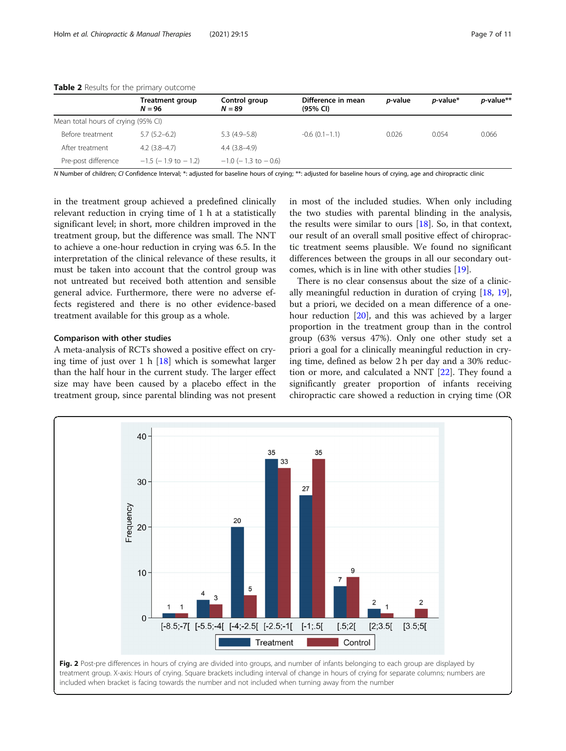|                                     | Treatment group<br>$N = 96$ | Control group<br>$N = 89$   | Difference in mean<br>(95% CI) | <i>p</i> -value | <i>p</i> -value* | p-value** |
|-------------------------------------|-----------------------------|-----------------------------|--------------------------------|-----------------|------------------|-----------|
| Mean total hours of crying (95% CI) |                             |                             |                                |                 |                  |           |
| Before treatment                    | $5.7(5.2-6.2)$              | $5.3(4.9-5.8)$              | $-0.6(0.1-1.1)$                | 0.026           | 0.054            | 0.066     |
| After treatment                     | $4.2(3.8-4.7)$              | $4.4(3.8-4.9)$              |                                |                 |                  |           |
| Pre-post difference                 | $-1.5$ ( $-1.9$ to $-1.2$ ) | $-1.0$ ( $-1.3$ to $-0.6$ ) |                                |                 |                  |           |

<span id="page-6-0"></span>Table 2 Results for the primary outcome

N Number of children; CI Confidence Interval; \*: adjusted for baseline hours of crying; \*\*: adjusted for baseline hours of crying, age and chiropractic clinic

in the treatment group achieved a predefined clinically relevant reduction in crying time of 1 h at a statistically significant level; in short, more children improved in the treatment group, but the difference was small. The NNT to achieve a one-hour reduction in crying was 6.5. In the interpretation of the clinical relevance of these results, it must be taken into account that the control group was not untreated but received both attention and sensible general advice. Furthermore, there were no adverse effects registered and there is no other evidence-based treatment available for this group as a whole.

#### Comparison with other studies

A meta-analysis of RCTs showed a positive effect on crying time of just over 1 h  $[18]$  $[18]$  which is somewhat larger than the half hour in the current study. The larger effect size may have been caused by a placebo effect in the treatment group, since parental blinding was not present in most of the included studies. When only including the two studies with parental blinding in the analysis, the results were similar to ours  $[18]$  $[18]$ . So, in that context, our result of an overall small positive effect of chiropractic treatment seems plausible. We found no significant differences between the groups in all our secondary outcomes, which is in line with other studies [[19\]](#page-10-0).

There is no clear consensus about the size of a clinically meaningful reduction in duration of crying [[18,](#page-10-0) [19](#page-10-0)], but a priori, we decided on a mean difference of a onehour reduction [\[20](#page-10-0)], and this was achieved by a larger proportion in the treatment group than in the control group (63% versus 47%). Only one other study set a priori a goal for a clinically meaningful reduction in crying time, defined as below 2 h per day and a 30% reduction or more, and calculated a NNT [[22](#page-10-0)]. They found a significantly greater proportion of infants receiving chiropractic care showed a reduction in crying time (OR



treatment group. X-axis: Hours of crying. Square brackets including interval of change in hours of crying for separate columns; numbers are included when bracket is facing towards the number and not included when turning away from the number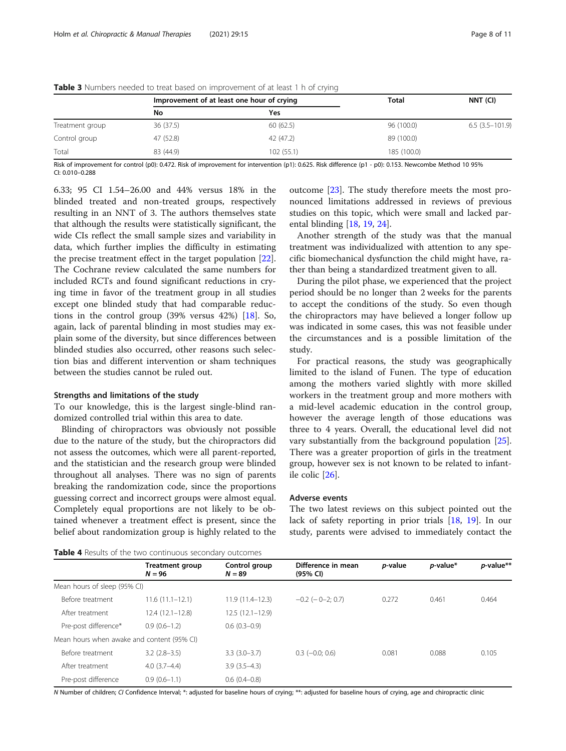|                 |           | Improvement of at least one hour of crying | Total       | NNT (CI)         |  |
|-----------------|-----------|--------------------------------------------|-------------|------------------|--|
|                 | No        | Yes                                        |             |                  |  |
| Treatment group | 36 (37.5) | 60(62.5)                                   | 96 (100.0)  | $6.5(3.5-101.9)$ |  |
| Control group   | 47 (52.8) | 42 (47.2)                                  | 89 (100.0)  |                  |  |
| Total           | 83 (44.9) | 102 (55.1)                                 | 185 (100.0) |                  |  |

<span id="page-7-0"></span>Table 3 Numbers needed to treat based on improvement of at least 1 h of crying

Risk of improvement for control (p0): 0.472. Risk of improvement for intervention (p1): 0.625. Risk difference (p1 - p0): 0.153. Newcombe Method 10 95% CI: 0.010–0.288

6.33; 95 CI 1.54–26.00 and 44% versus 18% in the blinded treated and non-treated groups, respectively resulting in an NNT of 3. The authors themselves state that although the results were statistically significant, the wide CIs reflect the small sample sizes and variability in data, which further implies the difficulty in estimating the precise treatment effect in the target population [\[22](#page-10-0)]. The Cochrane review calculated the same numbers for included RCTs and found significant reductions in crying time in favor of the treatment group in all studies except one blinded study that had comparable reductions in the control group (39% versus 42%) [\[18](#page-10-0)]. So, again, lack of parental blinding in most studies may explain some of the diversity, but since differences between blinded studies also occurred, other reasons such selection bias and different intervention or sham techniques between the studies cannot be ruled out.

#### Strengths and limitations of the study

To our knowledge, this is the largest single-blind randomized controlled trial within this area to date.

Blinding of chiropractors was obviously not possible due to the nature of the study, but the chiropractors did not assess the outcomes, which were all parent-reported, and the statistician and the research group were blinded throughout all analyses. There was no sign of parents breaking the randomization code, since the proportions guessing correct and incorrect groups were almost equal. Completely equal proportions are not likely to be obtained whenever a treatment effect is present, since the belief about randomization group is highly related to the

outcome [\[23](#page-10-0)]. The study therefore meets the most pronounced limitations addressed in reviews of previous studies on this topic, which were small and lacked parental blinding [\[18](#page-10-0), [19,](#page-10-0) [24\]](#page-10-0).

Another strength of the study was that the manual treatment was individualized with attention to any specific biomechanical dysfunction the child might have, rather than being a standardized treatment given to all.

During the pilot phase, we experienced that the project period should be no longer than 2 weeks for the parents to accept the conditions of the study. So even though the chiropractors may have believed a longer follow up was indicated in some cases, this was not feasible under the circumstances and is a possible limitation of the study.

For practical reasons, the study was geographically limited to the island of Funen. The type of education among the mothers varied slightly with more skilled workers in the treatment group and more mothers with a mid-level academic education in the control group, however the average length of those educations was three to 4 years. Overall, the educational level did not vary substantially from the background population [\[25](#page-10-0)]. There was a greater proportion of girls in the treatment group, however sex is not known to be related to infantile colic [\[26](#page-10-0)].

#### Adverse events

The two latest reviews on this subject pointed out the lack of safety reporting in prior trials [[18](#page-10-0), [19\]](#page-10-0). In our study, parents were advised to immediately contact the

Table 4 Results of the two continuous secondary outcomes

| <b>LANIC</b> THESULD OF LIKE LIVE COTTLINUOUS SECONDUITY OUTCOMPLES |                                    |                           |                                          |                 |             |           |
|---------------------------------------------------------------------|------------------------------------|---------------------------|------------------------------------------|-----------------|-------------|-----------|
|                                                                     | <b>Treatment group</b><br>$N = 96$ | Control group<br>$N = 89$ | Difference in mean<br>$(95% \text{ Cl})$ | <i>p</i> -value | $p$ -value* | p-value** |
| Mean hours of sleep (95% CI)                                        |                                    |                           |                                          |                 |             |           |
| Before treatment                                                    | $11.6(11.1-12.1)$                  | $11.9(11.4 - 12.3)$       | $-0.2$ ( $-0$ $-2$ ; 0.7)                | 0.272           | 0.461       | 0.464     |
| After treatment                                                     | $12.4(12.1-12.8)$                  | $12.5(12.1-12.9)$         |                                          |                 |             |           |
| Pre-post difference*                                                | $0.9(0.6-1.2)$                     | $0.6(0.3-0.9)$            |                                          |                 |             |           |
| Mean hours when awake and content (95% CI)                          |                                    |                           |                                          |                 |             |           |
| Before treatment                                                    | $3.2$ (2.8-3.5)                    | $3.3(3.0-3.7)$            | $0.3$ ( $-0.0; 0.6$ )                    | 0.081           | 0.088       | 0.105     |
| After treatment                                                     | $4.0(3.7-4.4)$                     | $3.9(3.5-4.3)$            |                                          |                 |             |           |
| Pre-post difference                                                 | $0.9(0.6-1.1)$                     | $0.6(0.4-0.8)$            |                                          |                 |             |           |
|                                                                     |                                    |                           |                                          |                 |             |           |

N Number of children; CI Confidence Interval; \*: adjusted for baseline hours of crying; \*\*: adjusted for baseline hours of crying, age and chiropractic clinic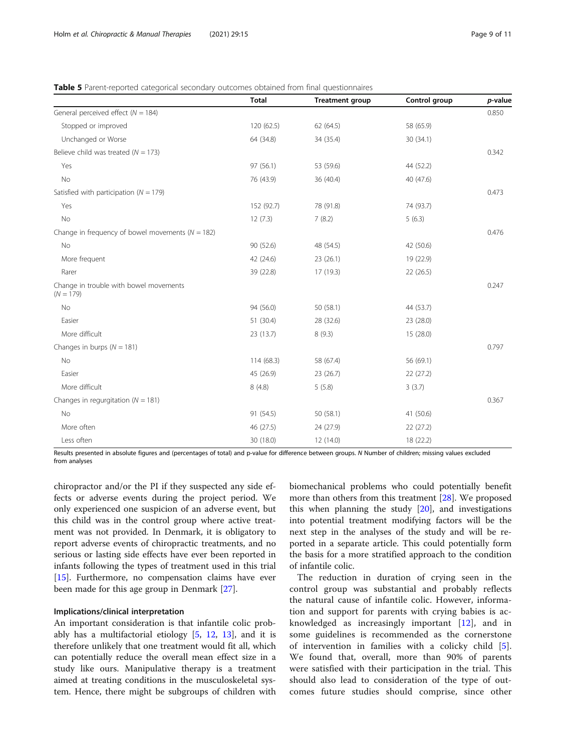<span id="page-8-0"></span>

| <b>Table 5</b> Parent-reported categorical secondary outcomes obtained from final questionnaires |  |  |  |
|--------------------------------------------------------------------------------------------------|--|--|--|
|                                                                                                  |  |  |  |

|                                                       | <b>Total</b> | <b>Treatment group</b> | Control group | p-value |
|-------------------------------------------------------|--------------|------------------------|---------------|---------|
| General perceived effect ( $N = 184$ )                |              |                        |               | 0.850   |
| Stopped or improved                                   | 120 (62.5)   | 62 (64.5)              | 58 (65.9)     |         |
| Unchanged or Worse                                    | 64 (34.8)    | 34 (35.4)              | 30 (34.1)     |         |
| Believe child was treated ( $N = 173$ )               |              |                        |               | 0.342   |
| Yes                                                   | 97 (56.1)    | 53 (59.6)              | 44 (52.2)     |         |
| No                                                    | 76 (43.9)    | 36 (40.4)              | 40 (47.6)     |         |
| Satisfied with participation ( $N = 179$ )            |              |                        |               | 0.473   |
| Yes                                                   | 152 (92.7)   | 78 (91.8)              | 74 (93.7)     |         |
| No                                                    | 12(7.3)      | 7(8.2)                 | 5(6.3)        |         |
| Change in frequency of bowel movements ( $N = 182$ )  |              |                        |               | 0.476   |
| No                                                    | 90 (52.6)    | 48 (54.5)              | 42 (50.6)     |         |
| More frequent                                         | 42 (24.6)    | 23(26.1)               | 19 (22.9)     |         |
| Rarer                                                 | 39 (22.8)    | 17 (19.3)              | 22(26.5)      |         |
| Change in trouble with bowel movements<br>$(N = 179)$ |              |                        |               | 0.247   |
| No                                                    | 94 (56.0)    | 50 (58.1)              | 44 (53.7)     |         |
| Easier                                                | 51 (30.4)    | 28 (32.6)              | 23 (28.0)     |         |
| More difficult                                        | 23 (13.7)    | 8(9.3)                 | 15 (28.0)     |         |
| Changes in burps ( $N = 181$ )                        |              |                        |               | 0.797   |
| No                                                    | 114 (68.3)   | 58 (67.4)              | 56 (69.1)     |         |
| Easier                                                | 45 (26.9)    | 23 (26.7)              | 22(27.2)      |         |
| More difficult                                        | 8(4.8)       | 5(5.8)                 | 3(3.7)        |         |
| Changes in regurgitation ( $N = 181$ )                |              |                        |               | 0.367   |
| No                                                    | 91 (54.5)    | 50 (58.1)              | 41 (50.6)     |         |
| More often                                            | 46 (27.5)    | 24 (27.9)              | 22(27.2)      |         |
| Less often                                            | 30 (18.0)    | 12 (14.0)              | 18 (22.2)     |         |

Results presented in absolute figures and (percentages of total) and p-value for difference between groups. N Number of children; missing values excluded from analyses

chiropractor and/or the PI if they suspected any side effects or adverse events during the project period. We only experienced one suspicion of an adverse event, but this child was in the control group where active treatment was not provided. In Denmark, it is obligatory to report adverse events of chiropractic treatments, and no serious or lasting side effects have ever been reported in infants following the types of treatment used in this trial [[15\]](#page-10-0). Furthermore, no compensation claims have ever been made for this age group in Denmark [\[27\]](#page-10-0).

#### Implications/clinical interpretation

An important consideration is that infantile colic probably has a multifactorial etiology  $[5, 12, 13]$  $[5, 12, 13]$  $[5, 12, 13]$  $[5, 12, 13]$  $[5, 12, 13]$ , and it is therefore unlikely that one treatment would fit all, which can potentially reduce the overall mean effect size in a study like ours. Manipulative therapy is a treatment aimed at treating conditions in the musculoskeletal system. Hence, there might be subgroups of children with

biomechanical problems who could potentially benefit more than others from this treatment [\[28](#page-10-0)]. We proposed this when planning the study [\[20\]](#page-10-0), and investigations into potential treatment modifying factors will be the next step in the analyses of the study and will be reported in a separate article. This could potentially form the basis for a more stratified approach to the condition of infantile colic.

The reduction in duration of crying seen in the control group was substantial and probably reflects the natural cause of infantile colic. However, information and support for parents with crying babies is acknowledged as increasingly important [[12](#page-9-0)], and in some guidelines is recommended as the cornerstone of intervention in families with a colicky child [\[5](#page-9-0)]. We found that, overall, more than 90% of parents were satisfied with their participation in the trial. This should also lead to consideration of the type of outcomes future studies should comprise, since other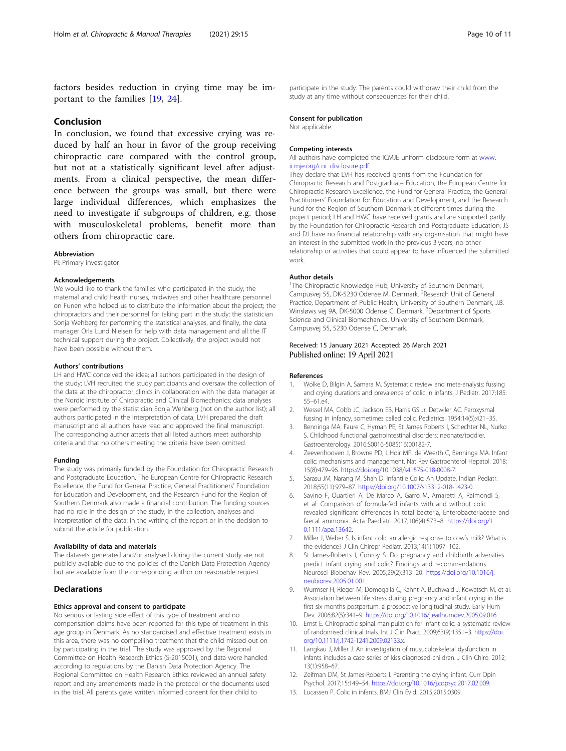<span id="page-9-0"></span>factors besides reduction in crying time may be important to the families [[19](#page-10-0), [24](#page-10-0)].

#### Conclusion

In conclusion, we found that excessive crying was reduced by half an hour in favor of the group receiving chiropractic care compared with the control group, but not at a statistically significant level after adjustments. From a clinical perspective, the mean difference between the groups was small, but there were large individual differences, which emphasizes the need to investigate if subgroups of children, e.g. those with musculoskeletal problems, benefit more than others from chiropractic care.

#### Abbreviation

PI: Primary investigator

#### Acknowledgements

We would like to thank the families who participated in the study; the maternal and child health nurses, midwives and other healthcare personnel on Funen who helped us to distribute the information about the project; the chiropractors and their personnel for taking part in the study; the statistician Sonja Wehberg for performing the statistical analyses, and finally, the data manager Orla Lund Nielsen for help with data management and all the IT technical support during the project. Collectively, the project would not have been possible without them.

#### Authors' contributions

LH and HWC conceived the idea; all authors participated in the design of the study; LVH recruited the study participants and oversaw the collection of the data at the chiropractor clinics in collaboration with the data manager at the Nordic Institute of Chiropractic and Clinical Biomechanics; data analyses were performed by the statistician Sonja Wehberg (not on the author list); all authors participated in the interpretation of data; LVH prepared the draft manuscript and all authors have read and approved the final manuscript. The corresponding author attests that all listed authors meet authorship criteria and that no others meeting the criteria have been omitted.

#### Funding

The study was primarily funded by the Foundation for Chiropractic Research and Postgraduate Education. The European Centre for Chiropractic Research Excellence, the Fund for General Practice, General Practitioners' Foundation for Education and Development, and the Research Fund for the Region of Southern Denmark also made a financial contribution. The funding sources had no role in the design of the study; in the collection, analyses and interpretation of the data; in the writing of the report or in the decision to submit the article for publication.

#### Availability of data and materials

The datasets generated and/or analysed during the current study are not publicly available due to the policies of the Danish Data Protection Agency but are available from the corresponding author on reasonable request.

## Declarations

#### Ethics approval and consent to participate

No serious or lasting side effect of this type of treatment and no compensation claims have been reported for this type of treatment in this age group in Denmark. As no standardised and effective treatment exists in this area, there was no compelling treatment that the child missed out on by participating in the trial. The study was approved by the Regional Committee on Health Research Ethics (S-2015001), and data were handled according to regulations by the Danish Data Protection Agency. The Regional Committee on Health Research Ethics reviewed an annual safety report and any amendments made in the protocol or the documents used in the trial. All parents gave written informed consent for their child to

participate in the study. The parents could withdraw their child from the study at any time without consequences for their child.

#### Consent for publication

Not applicable.

#### Competing interests

All authors have completed the ICMJE uniform disclosure form at [www.](http://www.icmje.org/coi_disclosure.pdf) [icmje.org/coi\\_disclosure.pdf](http://www.icmje.org/coi_disclosure.pdf).

They declare that LVH has received grants from the Foundation for Chiropractic Research and Postgraduate Education, the European Centre for Chiropractic Research Excellence, the Fund for General Practice, the General Practitioners' Foundation for Education and Development, and the Research Fund for the Region of Southern Denmark at different times during the project period; LH and HWC have received grants and are supported partly by the Foundation for Chiropractic Research and Postgraduate Education; JS and DJ have no financial relationship with any organisation that might have an interest in the submitted work in the previous 3 years; no other relationship or activities that could appear to have influenced the submitted work.

#### Author details

<sup>1</sup>The Chiropractic Knowledge Hub, University of Southern Denmark, Campusvej 55, DK-5230 Odense M, Denmark. <sup>2</sup>Research Unit of General Practice, Department of Public Health, University of Southern Denmark, J.B. Winsløws vej 9A, DK-5000 Odense C, Denmark. <sup>3</sup>Department of Sports Science and Clinical Biomechanics, University of Southern Denmark, Campusvej 55, 5230 Odense C, Denmark.

#### Received: 15 January 2021 Accepted: 26 March 2021 Published online: 19 April 2021

#### References

- 1. Wolke D, Bilgin A, Samara M. Systematic review and meta-analysis: fussing and crying durations and prevalence of colic in infants. J Pediatr. 2017;185: 55–61.e4.
- 2. Wessel MA, Cobb JC, Jackson EB, Harris GS Jr, Detwiler AC. Paroxysmal fussing in infancy, sometimes called colic. Pediatrics. 1954;14(5):421–35.
- 3. Benninga MA, Faure C, Hyman PE, St James Roberts I, Schechter NL, Nurko S. Childhood functional gastrointestinal disorders: neonate/toddler. Gastroenterology. 2016;S0016-5085(16)00182-7.
- 4. Zeevenhooven J, Browne PD, L'Hoir MP, de Weerth C, Benninga MA. Infant colic: mechanisms and management. Nat Rev Gastroenterol Hepatol. 2018; 15(8):479–96. <https://doi.org/10.1038/s41575-018-0008-7>.
- 5. Sarasu JM, Narang M, Shah D. Infantile Colic: An Update. Indian Pediatr. 2018;55(11):979–87. <https://doi.org/10.1007/s13312-018-1423-0>.
- Savino F, Quartieri A, De Marco A, Garro M, Amaretti A, Raimondi S, et al. Comparison of formula-fed infants with and without colic revealed significant differences in total bacteria, Enterobacteriaceae and faecal ammonia. Acta Paediatr. 2017;106(4):573–8. [https://doi.org/1](https://doi.org/10.1111/apa.13642) [0.1111/apa.13642](https://doi.org/10.1111/apa.13642).
- 7. Miller J, Weber S. Is infant colic an allergic response to cow's milk? What is the evidence? J Clin Chiropr Pediatr. 2013;14(1):1097–102.
- 8. St James-Roberts I, Conroy S. Do pregnancy and childbirth adversities predict infant crying and colic? Findings and recommendations. Neurosci Biobehav Rev. 2005;29(2):313–20. [https://doi.org/10.1016/j.](https://doi.org/10.1016/j.neubiorev.2005.01.001) [neubiorev.2005.01.001.](https://doi.org/10.1016/j.neubiorev.2005.01.001)
- 9. Wurmser H, Rieger M, Domogalla C, Kahnt A, Buchwald J, Kowatsch M, et al. Association between life stress during pregnancy and infant crying in the first six months postpartum: a prospective longitudinal study. Early Hum Dev. 2006;82(5):341–9. [https://doi.org/10.1016/j.earlhumdev.2005.09.016.](https://doi.org/10.1016/j.earlhumdev.2005.09.016)
- 10. Ernst E. Chiropractic spinal manipulation for infant colic: a systematic review of randomised clinical trials. Int J Clin Pract. 2009;63(9):1351–3. [https://doi.](https://doi.org/10.1111/j.1742-1241.2009.02133.x) [org/10.1111/j.1742-1241.2009.02133.x](https://doi.org/10.1111/j.1742-1241.2009.02133.x).
- 11. Langkau J, Miller J. An investigation of musuculoskeletal dysfunction in infants includes a case series of kiss diagnosed children. J Clin Chiro. 2012; 13(1):958–67.
- 12. Zeifman DM, St James-Roberts I. Parenting the crying infant. Curr Opin Psychol. 2017;15:149–54. <https://doi.org/10.1016/j.copsyc.2017.02.009>.
- 13. Lucassen P. Colic in infants. BMJ Clin Evid. 2015;2015;0309.